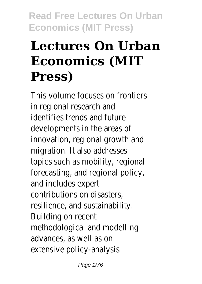# **Lectures On Urban Economics (MIT Press)**

This volume focuses on frontiers in regional research and identifies trends and future developments in the areas of innovation, regional growth and migration. It also addresses topics such as mobility, regional forecasting, and regional policy, and includes expert contributions on disasters, resilience, and sustainability. Building on recent methodological and modelling advances, as well as on extensive policy-analysis

Page 1/76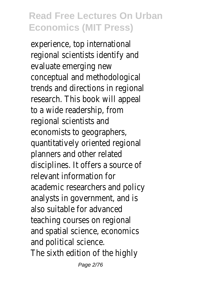experience, top international regional scientists identify and evaluate emerging new conceptual and methodological trends and directions in regional research. This book will appeal to a wide readership, from regional scientists and economists to geographers, quantitatively oriented regional planners and other related disciplines. It offers a source of relevant information for academic researchers and policy analysts in government, and is also suitable for advanced teaching courses on regional and spatial science, economics and political science. The sixth edition of the highly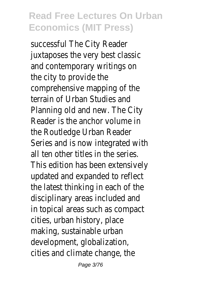successful The City Reader juxtaposes the very best classic and contemporary writings on the city to provide the comprehensive mapping of the terrain of Urban Studies and Planning old and new. The City Reader is the anchor volume in the Routledge Urban Reader Series and is now integrated with all ten other titles in the series. This edition has been extensively updated and expanded to reflect the latest thinking in each of the disciplinary areas included and in topical areas such as compact cities, urban history, place making, sustainable urban development, globalization, cities and climate change, the

Page 3/76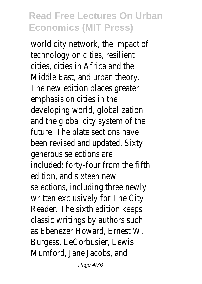world city network, the impact of technology on cities, resilient cities, cities in Africa and the Middle East, and urban theory. The new edition places greater emphasis on cities in the developing world, globalization and the global city system of the future. The plate sections have been revised and updated. Sixty generous selections are included: forty-four from the fifth edition, and sixteen new selections, including three newly written exclusively for The City Reader. The sixth edition keeps classic writings by authors such as Ebenezer Howard, Ernest W. Burgess, LeCorbusier, Lewis Mumford, Jane Jacobs, and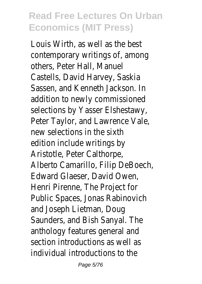Louis Wirth, as well as the best contemporary writings of, among others, Peter Hall, Manuel Castells, David Harvey, Saskia Sassen, and Kenneth Jackson. In addition to newly commissioned selections by Yasser Elshestawy, Peter Taylor, and Lawrence Vale, new selections in the sixth edition include writings by Aristotle, Peter Calthorpe, Alberto Camarillo, Filip DeBoech, Edward Glaeser, David Owen, Henri Pirenne, The Project for Public Spaces, Jonas Rabinovich and Joseph Lietman, Doug Saunders, and Bish Sanyal. The anthology features general and section introductions as well as individual introductions to the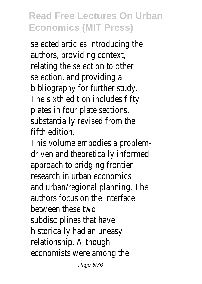selected articles introducing the authors, providing context, relating the selection to other selection, and providing a bibliography for further study. The sixth edition includes fifty plates in four plate sections, substantially revised from the fifth edition.

This volume embodies a problemdriven and theoretically informed approach to bridging frontier research in urban economics and urban/regional planning. The authors focus on the interface between these two subdisciplines that have historically had an uneasy relationship. Although economists were among the

Page 6/76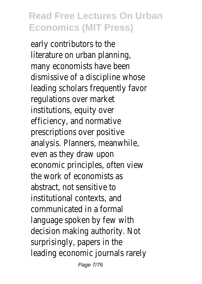early contributors to the literature on urban planning, many economists have been dismissive of a discipline whose leading scholars frequently favor regulations over market institutions, equity over efficiency, and normative prescriptions over positive analysis. Planners, meanwhile, even as they draw upon economic principles, often view the work of economists as abstract, not sensitive to institutional contexts, and communicated in a formal language spoken by few with decision making authority. Not surprisingly, papers in the leading economic journals rarely

Page 7/76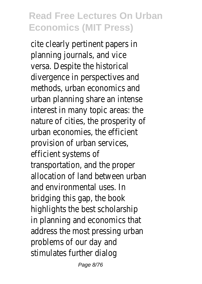cite clearly pertinent papers in planning journals, and vice versa. Despite the historical divergence in perspectives and methods, urban economics and urban planning share an intense interest in many topic areas: the nature of cities, the prosperity of urban economies, the efficient provision of urban services, efficient systems of transportation, and the proper allocation of land between urban and environmental uses. In bridging this gap, the book highlights the best scholarship in planning and economics that address the most pressing urban problems of our day and stimulates further dialog

Page 8/76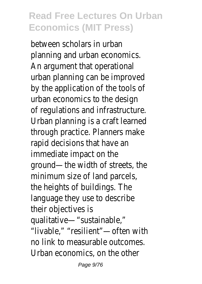between scholars in urban planning and urban economics. An argument that operational urban planning can be improved by the application of the tools of urban economics to the design of regulations and infrastructure. Urban planning is a craft learned through practice. Planners make rapid decisions that have an immediate impact on the ground—the width of streets, the minimum size of land parcels, the heights of buildings. The language they use to describe their objectives is qualitative—"sustainable," "livable," "resilient"—often with no link to measurable outcomes. Urban economics, on the other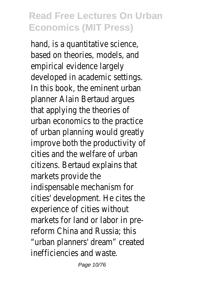hand, is a quantitative science, based on theories, models, and empirical evidence largely developed in academic settings. In this book, the eminent urban planner Alain Bertaud argues that applying the theories of urban economics to the practice of urban planning would greatly improve both the productivity of cities and the welfare of urban citizens. Bertaud explains that markets provide the indispensable mechanism for cities' development. He cites the experience of cities without markets for land or labor in prereform China and Russia; this "urban planners' dream" created inefficiencies and waste.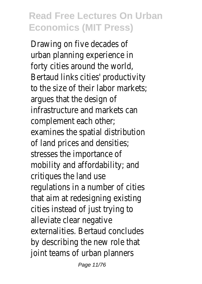Drawing on five decades of urban planning experience in forty cities around the world, Bertaud links cities' productivity to the size of their labor markets; argues that the design of infrastructure and markets can complement each other; examines the spatial distribution of land prices and densities; stresses the importance of mobility and affordability; and critiques the land use regulations in a number of cities that aim at redesigning existing cities instead of just trying to alleviate clear negative externalities. Bertaud concludes by describing the new role that joint teams of urban planners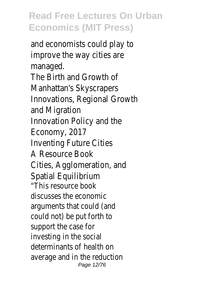and economists could play to improve the way cities are managed. The Birth and Growth of Manhattan's Skyscrapers Innovations, Regional Growth and Migration Innovation Policy and the Economy, 2017 Inventing Future Cities A Resource Book Cities, Agglomeration, and Spatial Equilibrium "This resource book discusses the economic arguments that could (and could not) be put forth to support the case for investing in the social determinants of health on average and in the reduction Page 12/76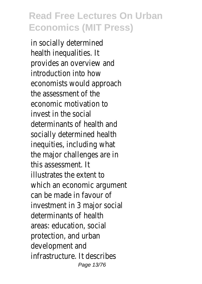in socially determined health inequalities. It provides an overview and introduction into how economists would approach the assessment of the economic motivation to invest in the social determinants of health and socially determined health inequities, including what the major challenges are in this assessment. It illustrates the extent to which an economic argument can be made in favour of investment in 3 major social determinants of health areas: education, social protection, and urban development and infrastructure. It describes Page 13/76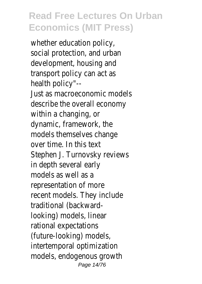whether education policy, social protection, and urban development, housing and transport policy can act as health policy"-- Just as macroeconomic models describe the overall economy within a changing, or dynamic, framework, the models themselves change over time. In this text Stephen J. Turnovsky reviews in depth several early models as well as a representation of more recent models. They include traditional (backwardlooking) models, linear rational expectations (future-looking) models, intertemporal optimization models, endogenous growth Page 14/76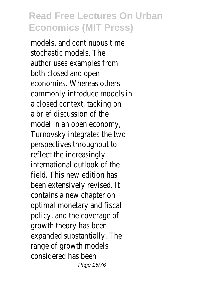models, and continuous time stochastic models. The author uses examples from both closed and open economies. Whereas others commonly introduce models in a closed context, tacking on a brief discussion of the model in an open economy, Turnovsky integrates the two perspectives throughout to reflect the increasingly international outlook of the field. This new edition has been extensively revised. It contains a new chapter on optimal monetary and fiscal policy, and the coverage of growth theory has been expanded substantially. The range of growth models considered has been Page 15/76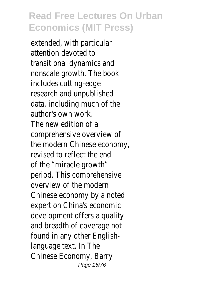extended, with particular attention devoted to transitional dynamics and nonscale growth. The book includes cutting-edge research and unpublished data, including much of the author's own work. The new edition of a comprehensive overview of the modern Chinese economy, revised to reflect the end of the "miracle growth" period. This comprehensive overview of the modern Chinese economy by a noted expert on China's economic development offers a quality and breadth of coverage not found in any other Englishlanguage text. In The Chinese Economy, Barry Page 16/76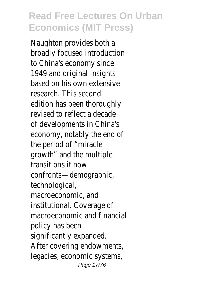Naughton provides both a broadly focused introduction to China's economy since 1949 and original insights based on his own extensive research. This second edition has been thoroughly revised to reflect a decade of developments in China's economy, notably the end of the period of "miracle growth" and the multiple transitions it now confronts—demographic, technological, macroeconomic, and institutional. Coverage of macroeconomic and financial policy has been significantly expanded. After covering endowments, legacies, economic systems, Page 17/76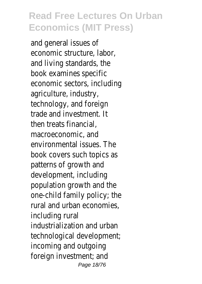and general issues of economic structure, labor, and living standards, the book examines specific economic sectors, including agriculture, industry, technology, and foreign trade and investment. It then treats financial, macroeconomic, and environmental issues. The book covers such topics as patterns of growth and development, including population growth and the one-child family policy; the rural and urban economies, including rural industrialization and urban technological development; incoming and outgoing foreign investment; and Page 18/76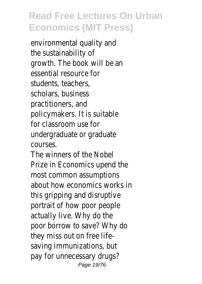environmental quality and the sustainability of growth. The book will be an essential resource for students, teachers, scholars, business practitioners, and policymakers. It is suitable for classroom use for undergraduate or graduate courses.

The winners of the Nobel Prize in Economics upend the most common assumptions about how economics works in this gripping and disruptive portrait of how poor people actually live. Why do the poor borrow to save? Why do they miss out on free lifesaving immunizations, but pay for unnecessary drugs? Page 19/76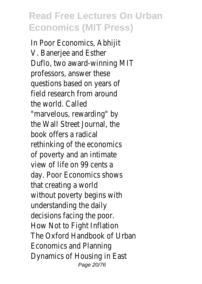In Poor Economics, Abhijit V. Banerjee and Esther Duflo, two award-winning MIT professors, answer these questions based on years of field research from around the world. Called "marvelous, rewarding" by the Wall Street Journal, the book offers a radical rethinking of the economics of poverty and an intimate view of life on 99 cents a day. Poor Economics shows that creating a world without poverty begins with understanding the daily decisions facing the poor. How Not to Fight Inflation The Oxford Handbook of Urban Economics and Planning Dynamics of Housing in East Page 20/76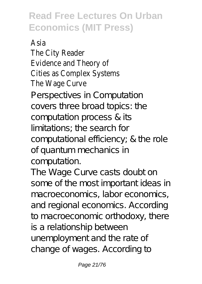Asia The City Reader Evidence and Theory of Cities as Complex Systems The Wage Curve

Perspectives in Computation covers three broad topics: the computation process & its limitations; the search for computational efficiency; & the role of quantum mechanics in computation.

The Wage Curve casts doubt on some of the most important ideas in macroeconomics, labor economics, and regional economics. According to macroeconomic orthodoxy, there is a relationship between unemployment and the rate of change of wages. According to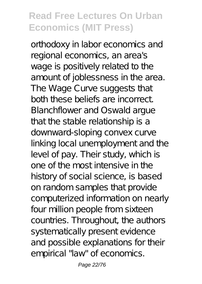orthodoxy in labor economics and regional economics, an area's wage is positively related to the amount of joblessness in the area. The Wage Curve suggests that both these beliefs are incorrect. Blanchflower and Oswald argue that the stable relationship is a downward-sloping convex curve linking local unemployment and the level of pay. Their study, which is one of the most intensive in the history of social science, is based on random samples that provide computerized information on nearly four million people from sixteen countries. Throughout, the authors systematically present evidence and possible explanations for their empirical "law" of economics.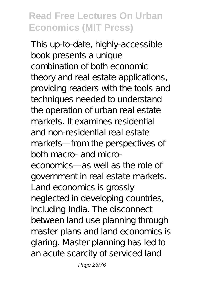This up-to-date, highly-accessible book presents a unique combination of both economic theory and real estate applications, providing readers with the tools and techniques needed to understand the operation of urban real estate markets. It examines residential and non-residential real estate markets—from the perspectives of both macro- and microeconomics—as well as the role of government in real estate markets. Land economics is grossly neglected in developing countries, including India. The disconnect between land use planning through master plans and land economics is glaring. Master planning has led to an acute scarcity of serviced land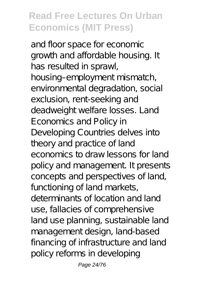and floor space for economic growth and affordable housing. It has resulted in sprawl, housing–employment mismatch, environmental degradation, social exclusion, rent-seeking and deadweight welfare losses. Land Economics and Policy in Developing Countries delves into theory and practice of land economics to draw lessons for land policy and management. It presents concepts and perspectives of land, functioning of land markets, determinants of location and land use, fallacies of comprehensive land use planning, sustainable land management design, land-based financing of infrastructure and land policy reforms in developing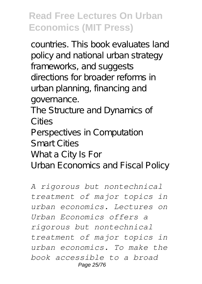countries. This book evaluates land policy and national urban strategy frameworks, and suggests directions for broader reforms in urban planning, financing and governance.

The Structure and Dynamics of Cities

Perspectives in Computation Smart Cities

Whata City Is For

Urban Economics and Fiscal Policy

*A rigorous but nontechnical treatment of major topics in urban economics. Lectures on Urban Economics offers a rigorous but nontechnical treatment of major topics in urban economics. To make the book accessible to a broad* Page 25/76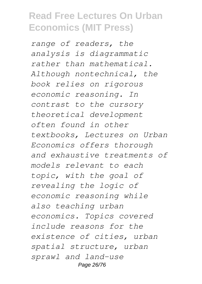*range of readers, the analysis is diagrammatic rather than mathematical. Although nontechnical, the book relies on rigorous economic reasoning. In contrast to the cursory theoretical development often found in other textbooks, Lectures on Urban Economics offers thorough and exhaustive treatments of models relevant to each topic, with the goal of revealing the logic of economic reasoning while also teaching urban economics. Topics covered include reasons for the existence of cities, urban spatial structure, urban sprawl and land-use* Page 26/76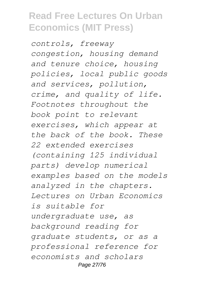*controls, freeway congestion, housing demand and tenure choice, housing policies, local public goods and services, pollution, crime, and quality of life. Footnotes throughout the book point to relevant exercises, which appear at the back of the book. These 22 extended exercises (containing 125 individual parts) develop numerical examples based on the models analyzed in the chapters. Lectures on Urban Economics is suitable for undergraduate use, as background reading for graduate students, or as a professional reference for economists and scholars* Page 27/76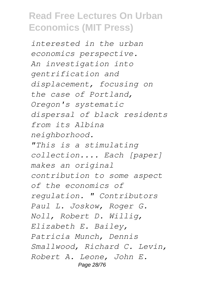*interested in the urban economics perspective. An investigation into gentrification and displacement, focusing on the case of Portland, Oregon's systematic dispersal of black residents from its Albina neighborhood. "This is a stimulating collection.... Each [paper] makes an original contribution to some aspect of the economics of regulation. " Contributors Paul L. Joskow, Roger G. Noll, Robert D. Willig, Elizabeth E. Bailey, Patricia Munch, Dennis Smallwood, Richard C. Levin, Robert A. Leone, John E.* Page 28/76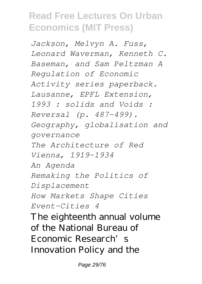*Jackson, Melvyn A. Fuss, Leonard Waverman, Kenneth C. Baseman, and Sam Peltzman A Regulation of Economic Activity series paperback. Lausanne, EPFL Extension, 1993 : solids and Voids : Reversal (p. 487-499). Geography, globalisation and governance The Architecture of Red Vienna, 1919-1934 An Agenda Remaking the Politics of Displacement How Markets Shape Cities Event-Cities 4* The eighteenth annual volume of the National Bureau of Economic Research's Innovation Policy and the

Page 29/76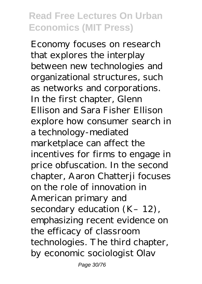Economy focuses on research that explores the interplay between new technologies and organizational structures, such as networks and corporations. In the first chapter, Glenn Ellison and Sara Fisher Ellison explore how consumer search in a technology-mediated marketplace can affect the incentives for firms to engage in price obfuscation. In the second chapter, Aaron Chatterji focuses on the role of innovation in American primary and secondary education  $(K-12)$ , emphasizing recent evidence on the efficacy of classroom technologies. The third chapter, by economic sociologist Olav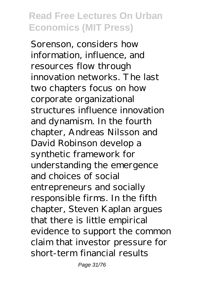Sorenson, considers how information, influence, and resources flow through innovation networks. The last two chapters focus on how corporate organizational structures influence innovation and dynamism. In the fourth chapter, Andreas Nilsson and David Robinson develop a synthetic framework for understanding the emergence and choices of social entrepreneurs and socially responsible firms. In the fifth chapter, Steven Kaplan argues that there is little empirical evidence to support the common claim that investor pressure for short-term financial results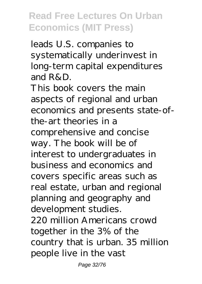leads U.S. companies to systematically underinvest in long-term capital expenditures and  $R\&D$ .

This book covers the main aspects of regional and urban economics and presents state-ofthe-art theories in a comprehensive and concise way. The book will be of interest to undergraduates in business and economics and covers specific areas such as real estate, urban and regional planning and geography and development studies. 220 million Americans crowd together in the 3% of the country that is urban. 35 million people live in the vast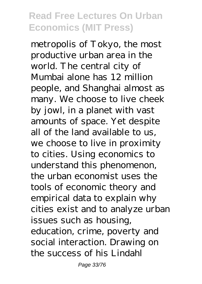metropolis of Tokyo, the most productive urban area in the world. The central city of Mumbai alone has 12 million people, and Shanghai almost as many. We choose to live cheek by jowl, in a planet with vast amounts of space. Yet despite all of the land available to us, we choose to live in proximity to cities. Using economics to understand this phenomenon, the urban economist uses the tools of economic theory and empirical data to explain why cities exist and to analyze urban issues such as housing, education, crime, poverty and social interaction. Drawing on the success of his Lindahl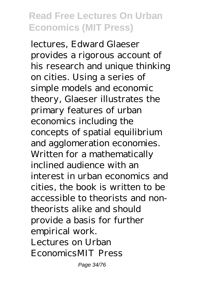lectures, Edward Glaeser provides a rigorous account of his research and unique thinking on cities. Using a series of simple models and economic theory, Glaeser illustrates the primary features of urban economics including the concepts of spatial equilibrium and agglomeration economies. Written for a mathematically inclined audience with an interest in urban economics and cities, the book is written to be accessible to theorists and nontheorists alike and should provide a basis for further empirical work. Lectures on Urban EconomicsMIT Press

Page 34/76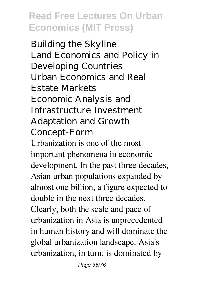Building the Skyline Land Economics and Policy in Developing Countries Urban Economics and Real Estate Markets Economic Analysis and Infrastructure Investment Adaptation and Growth Concept-Form Urbanization is one of the most important phenomena in economic development. In the past three decades, Asian urban populations expanded by almost one billion, a figure expected to double in the next three decades. Clearly, both the scale and pace of urbanization in Asia is unprecedented in human history and will dominate the global urbanization landscape. Asia's urbanization, in turn, is dominated by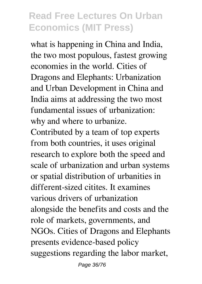what is happening in China and India, the two most populous, fastest growing economies in the world. Cities of Dragons and Elephants: Urbanization and Urban Development in China and India aims at addressing the two most fundamental issues of urbanization: why and where to urbanize.

Contributed by a team of top experts from both countries, it uses original research to explore both the speed and scale of urbanization and urban systems or spatial distribution of urbanities in different-sized citites. It examines various drivers of urbanization alongside the benefits and costs and the role of markets, governments, and NGOs. Cities of Dragons and Elephants presents evidence-based policy suggestions regarding the labor market,

Page 36/76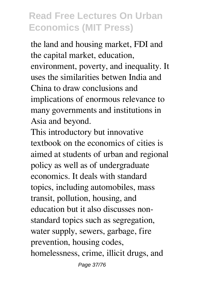the land and housing market, FDI and the capital market, education, environment, poverty, and inequality. It uses the similarities betwen India and China to draw conclusions and implications of enormous relevance to many governments and institutions in Asia and beyond.

This introductory but innovative textbook on the economics of cities is aimed at students of urban and regional policy as well as of undergraduate economics. It deals with standard topics, including automobiles, mass transit, pollution, housing, and education but it also discusses nonstandard topics such as segregation, water supply, sewers, garbage, fire prevention, housing codes, homelessness, crime, illicit drugs, and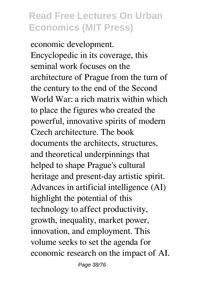economic development. Encyclopedic in its coverage, this seminal work focuses on the architecture of Prague from the turn of the century to the end of the Second World War: a rich matrix within which to place the figures who created the powerful, innovative spirits of modern Czech architecture. The book documents the architects, structures, and theoretical underpinnings that helped to shape Prague's cultural heritage and present-day artistic spirit. Advances in artificial intelligence (AI) highlight the potential of this technology to affect productivity, growth, inequality, market power, innovation, and employment. This volume seeks to set the agenda for economic research on the impact of AI.

Page 38/76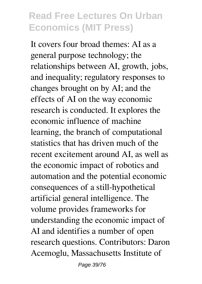It covers four broad themes: AI as a general purpose technology; the relationships between AI, growth, jobs, and inequality; regulatory responses to changes brought on by AI; and the effects of AI on the way economic research is conducted. It explores the economic influence of machine learning, the branch of computational statistics that has driven much of the recent excitement around AI, as well as the economic impact of robotics and automation and the potential economic consequences of a still-hypothetical artificial general intelligence. The volume provides frameworks for understanding the economic impact of AI and identifies a number of open research questions. Contributors: Daron Acemoglu, Massachusetts Institute of

Page 39/76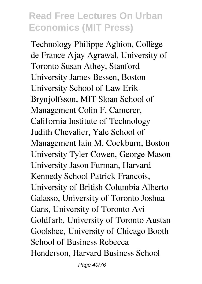Technology Philippe Aghion, Collège de France Ajay Agrawal, University of Toronto Susan Athey, Stanford University James Bessen, Boston University School of Law Erik Brynjolfsson, MIT Sloan School of Management Colin F. Camerer, California Institute of Technology Judith Chevalier, Yale School of Management Iain M. Cockburn, Boston University Tyler Cowen, George Mason University Jason Furman, Harvard Kennedy School Patrick Francois, University of British Columbia Alberto Galasso, University of Toronto Joshua Gans, University of Toronto Avi Goldfarb, University of Toronto Austan Goolsbee, University of Chicago Booth School of Business Rebecca Henderson, Harvard Business School

Page 40/76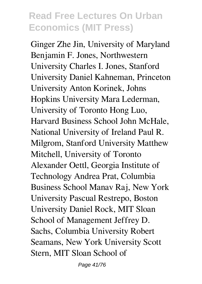Ginger Zhe Jin, University of Maryland Benjamin F. Jones, Northwestern University Charles I. Jones, Stanford University Daniel Kahneman, Princeton University Anton Korinek, Johns Hopkins University Mara Lederman, University of Toronto Hong Luo, Harvard Business School John McHale, National University of Ireland Paul R. Milgrom, Stanford University Matthew Mitchell, University of Toronto Alexander Oettl, Georgia Institute of Technology Andrea Prat, Columbia Business School Manav Raj, New York University Pascual Restrepo, Boston University Daniel Rock, MIT Sloan School of Management Jeffrey D. Sachs, Columbia University Robert Seamans, New York University Scott Stern, MIT Sloan School of

Page 41/76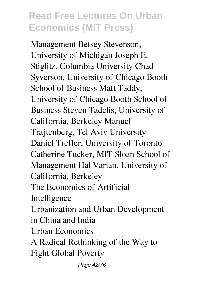Management Betsey Stevenson, University of Michigan Joseph E. Stiglitz. Columbia University Chad Syverson, University of Chicago Booth School of Business Matt Taddy, University of Chicago Booth School of Business Steven Tadelis, University of California, Berkeley Manuel Trajtenberg, Tel Aviv University Daniel Trefler, University of Toronto Catherine Tucker, MIT Sloan School of Management Hal Varian, University of California, Berkeley The Economics of Artificial Intelligence Urbanization and Urban Development in China and India Urban Economics A Radical Rethinking of the Way to Fight Global Poverty

Page 42/76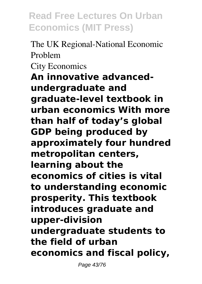The UK Regional-National Economic Problem City Economics **An innovative advancedundergraduate and graduate-level textbook in urban economics With more than half of today's global GDP being produced by approximately four hundred metropolitan centers, learning about the economics of cities is vital to understanding economic prosperity. This textbook introduces graduate and upper-division undergraduate students to the field of urban economics and fiscal policy,**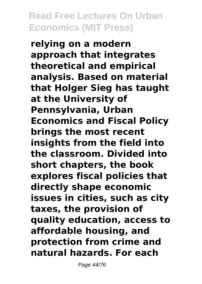**relying on a modern approach that integrates theoretical and empirical analysis. Based on material that Holger Sieg has taught at the University of Pennsylvania, Urban Economics and Fiscal Policy brings the most recent insights from the field into the classroom. Divided into short chapters, the book explores fiscal policies that directly shape economic issues in cities, such as city taxes, the provision of quality education, access to affordable housing, and protection from crime and natural hazards. For each**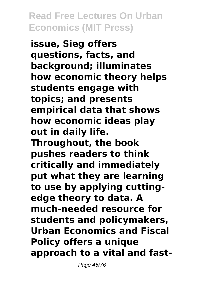**issue, Sieg offers questions, facts, and background; illuminates how economic theory helps students engage with topics; and presents empirical data that shows how economic ideas play out in daily life. Throughout, the book pushes readers to think critically and immediately put what they are learning to use by applying cuttingedge theory to data. A much-needed resource for students and policymakers, Urban Economics and Fiscal Policy offers a unique approach to a vital and fast-**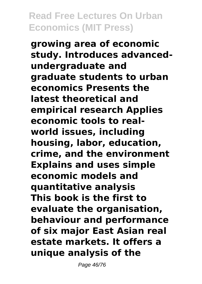**growing area of economic study. Introduces advancedundergraduate and graduate students to urban economics Presents the latest theoretical and empirical research Applies economic tools to realworld issues, including housing, labor, education, crime, and the environment Explains and uses simple economic models and quantitative analysis This book is the first to evaluate the organisation, behaviour and performance of six major East Asian real estate markets. It offers a unique analysis of the**

Page 46/76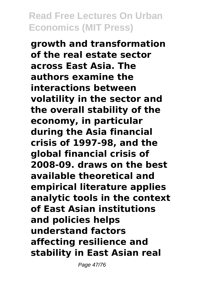**growth and transformation of the real estate sector across East Asia. The authors examine the interactions between volatility in the sector and the overall stability of the economy, in particular during the Asia financial crisis of 1997-98, and the global financial crisis of 2008-09. draws on the best available theoretical and empirical literature applies analytic tools in the context of East Asian institutions and policies helps understand factors affecting resilience and stability in East Asian real**

Page 47/76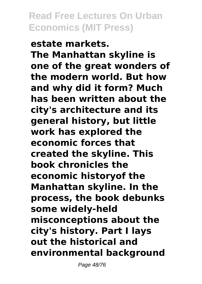**estate markets. The Manhattan skyline is one of the great wonders of the modern world. But how and why did it form? Much has been written about the city's architecture and its general history, but little work has explored the economic forces that created the skyline. This book chronicles the economic historyof the Manhattan skyline. In the process, the book debunks some widely-held misconceptions about the city's history. Part I lays out the historical and environmental background**

Page 48/76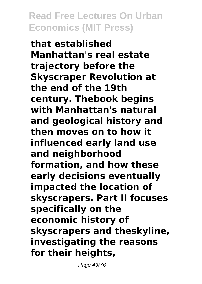**that established Manhattan's real estate trajectory before the Skyscraper Revolution at the end of the 19th century. Thebook begins with Manhattan's natural and geological history and then moves on to how it influenced early land use and neighborhood formation, and how these early decisions eventually impacted the location of skyscrapers. Part II focuses specifically on the economic history of skyscrapers and theskyline, investigating the reasons for their heights,**

Page 49/76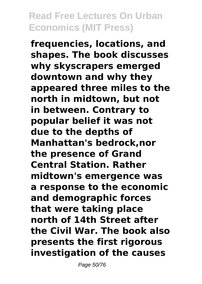**frequencies, locations, and shapes. The book discusses why skyscrapers emerged downtown and why they appeared three miles to the north in midtown, but not in between. Contrary to popular belief it was not due to the depths of Manhattan's bedrock,nor the presence of Grand Central Station. Rather midtown's emergence was a response to the economic and demographic forces that were taking place north of 14th Street after the Civil War. The book also presents the first rigorous investigation of the causes**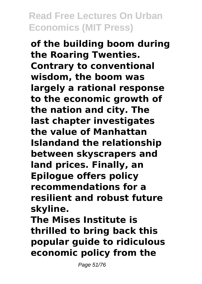**of the building boom during the Roaring Twenties. Contrary to conventional wisdom, the boom was largely a rational response to the economic growth of the nation and city. The last chapter investigates the value of Manhattan Islandand the relationship between skyscrapers and land prices. Finally, an Epilogue offers policy recommendations for a resilient and robust future skyline.**

**The Mises Institute is thrilled to bring back this popular guide to ridiculous economic policy from the**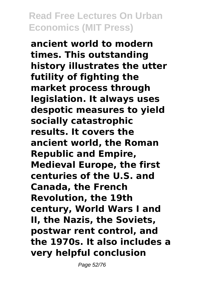**ancient world to modern times. This outstanding history illustrates the utter futility of fighting the market process through legislation. It always uses despotic measures to yield socially catastrophic results. It covers the ancient world, the Roman Republic and Empire, Medieval Europe, the first centuries of the U.S. and Canada, the French Revolution, the 19th century, World Wars I and II, the Nazis, the Soviets, postwar rent control, and the 1970s. It also includes a very helpful conclusion**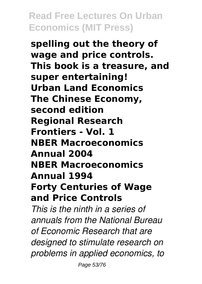**spelling out the theory of wage and price controls. This book is a treasure, and super entertaining! Urban Land Economics The Chinese Economy, second edition Regional Research Frontiers - Vol. 1 NBER Macroeconomics Annual 2004 NBER Macroeconomics Annual 1994 Forty Centuries of Wage and Price Controls**

*This is the ninth in a series of annuals from the National Bureau of Economic Research that are designed to stimulate research on problems in applied economics, to*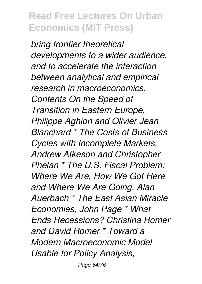*bring frontier theoretical developments to a wider audience, and to accelerate the interaction between analytical and empirical research in macroeconomics. Contents On the Speed of Transition in Eastern Europe, Philippe Aghion and Olivier Jean Blanchard \* The Costs of Business Cycles with Incomplete Markets, Andrew Atkeson and Christopher Phelan \* The U.S. Fiscal Problem: Where We Are, How We Got Here and Where We Are Going, Alan Auerbach \* The East Asian Miracle Economies, John Page \* What Ends Recessions? Christina Romer and David Romer \* Toward a Modern Macroeconomic Model Usable for Policy Analysis,*

Page 54/76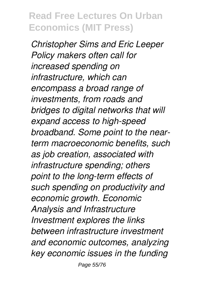*Christopher Sims and Eric Leeper Policy makers often call for increased spending on infrastructure, which can encompass a broad range of investments, from roads and bridges to digital networks that will expand access to high-speed broadband. Some point to the nearterm macroeconomic benefits, such as job creation, associated with infrastructure spending; others point to the long-term effects of such spending on productivity and economic growth. Economic Analysis and Infrastructure Investment explores the links between infrastructure investment and economic outcomes, analyzing key economic issues in the funding*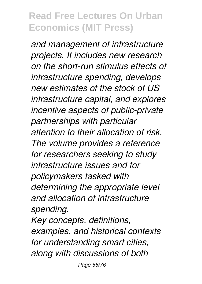*and management of infrastructure projects. It includes new research on the short-run stimulus effects of infrastructure spending, develops new estimates of the stock of US infrastructure capital, and explores incentive aspects of public-private partnerships with particular attention to their allocation of risk. The volume provides a reference for researchers seeking to study infrastructure issues and for policymakers tasked with determining the appropriate level and allocation of infrastructure spending.*

*Key concepts, definitions, examples, and historical contexts for understanding smart cities, along with discussions of both*

Page 56/76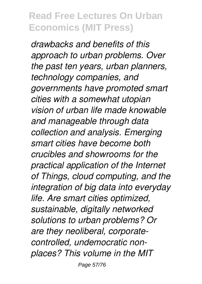*drawbacks and benefits of this approach to urban problems. Over the past ten years, urban planners, technology companies, and governments have promoted smart cities with a somewhat utopian vision of urban life made knowable and manageable through data collection and analysis. Emerging smart cities have become both crucibles and showrooms for the practical application of the Internet of Things, cloud computing, and the integration of big data into everyday life. Are smart cities optimized, sustainable, digitally networked solutions to urban problems? Or are they neoliberal, corporatecontrolled, undemocratic nonplaces? This volume in the MIT*

Page 57/76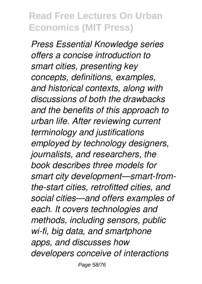*Press Essential Knowledge series offers a concise introduction to smart cities, presenting key concepts, definitions, examples, and historical contexts, along with discussions of both the drawbacks and the benefits of this approach to urban life. After reviewing current terminology and justifications employed by technology designers, journalists, and researchers, the book describes three models for smart city development—smart-fromthe-start cities, retrofitted cities, and social cities—and offers examples of each. It covers technologies and methods, including sensors, public wi-fi, big data, and smartphone apps, and discusses how developers conceive of interactions*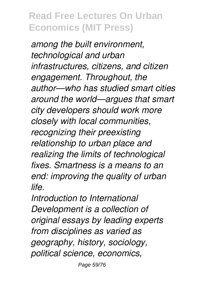*among the built environment, technological and urban infrastructures, citizens, and citizen engagement. Throughout, the author—who has studied smart cities around the world—argues that smart city developers should work more closely with local communities, recognizing their preexisting relationship to urban place and realizing the limits of technological fixes. Smartness is a means to an end: improving the quality of urban life.*

*Introduction to International Development is a collection of original essays by leading experts from disciplines as varied as geography, history, sociology, political science, economics,*

Page 59/76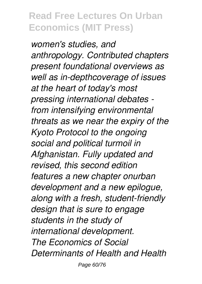*women's studies, and anthropology. Contributed chapters present foundational overviews as well as in-depthcoverage of issues at the heart of today's most pressing international debates from intensifying environmental threats as we near the expiry of the Kyoto Protocol to the ongoing social and political turmoil in Afghanistan. Fully updated and revised, this second edition features a new chapter onurban development and a new epilogue, along with a fresh, student-friendly design that is sure to engage students in the study of international development. The Economics of Social Determinants of Health and Health*

Page 60/76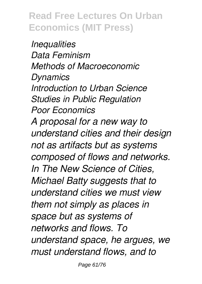*Inequalities Data Feminism Methods of Macroeconomic Dynamics Introduction to Urban Science Studies in Public Regulation Poor Economics A proposal for a new way to understand cities and their design not as artifacts but as systems composed of flows and networks. In The New Science of Cities, Michael Batty suggests that to understand cities we must view them not simply as places in space but as systems of networks and flows. To understand space, he argues, we must understand flows, and to*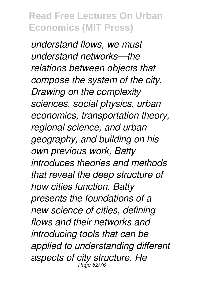*understand flows, we must understand networks—the relations between objects that compose the system of the city. Drawing on the complexity sciences, social physics, urban economics, transportation theory, regional science, and urban geography, and building on his own previous work, Batty introduces theories and methods that reveal the deep structure of how cities function. Batty presents the foundations of a new science of cities, defining flows and their networks and introducing tools that can be applied to understanding different aspects of city structure. He* Page 62/76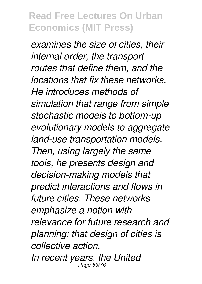*examines the size of cities, their internal order, the transport routes that define them, and the locations that fix these networks. He introduces methods of simulation that range from simple stochastic models to bottom-up evolutionary models to aggregate land-use transportation models. Then, using largely the same tools, he presents design and decision-making models that predict interactions and flows in future cities. These networks emphasize a notion with relevance for future research and planning: that design of cities is collective action. In recent years, the United* Page 63/76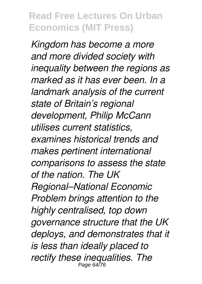*Kingdom has become a more and more divided society with inequality between the regions as marked as it has ever been. In a landmark analysis of the current state of Britain's regional development, Philip McCann utilises current statistics, examines historical trends and makes pertinent international comparisons to assess the state of the nation. The UK Regional–National Economic Problem brings attention to the highly centralised, top down governance structure that the UK deploys, and demonstrates that it is less than ideally placed to rectify these inequalities. The* Page 64/76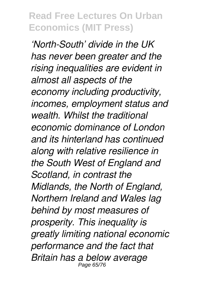*'North-South' divide in the UK has never been greater and the rising inequalities are evident in almost all aspects of the economy including productivity, incomes, employment status and wealth. Whilst the traditional economic dominance of London and its hinterland has continued along with relative resilience in the South West of England and Scotland, in contrast the Midlands, the North of England, Northern Ireland and Wales lag behind by most measures of prosperity. This inequality is greatly limiting national economic performance and the fact that Britain has a below average* Page 65/7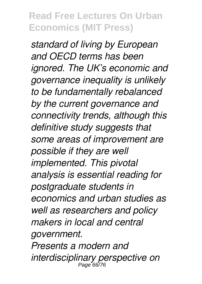*standard of living by European and OECD terms has been ignored. The UK's economic and governance inequality is unlikely to be fundamentally rebalanced by the current governance and connectivity trends, although this definitive study suggests that some areas of improvement are possible if they are well implemented. This pivotal analysis is essential reading for postgraduate students in economics and urban studies as well as researchers and policy makers in local and central government. Presents a modern and interdisciplinary perspective on* Page 66/76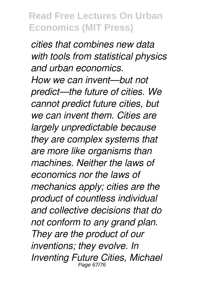*cities that combines new data with tools from statistical physics and urban economics. How we can invent—but not predict—the future of cities. We cannot predict future cities, but we can invent them. Cities are largely unpredictable because they are complex systems that are more like organisms than machines. Neither the laws of economics nor the laws of mechanics apply; cities are the product of countless individual and collective decisions that do not conform to any grand plan. They are the product of our inventions; they evolve. In Inventing Future Cities, Michael* Page 67/76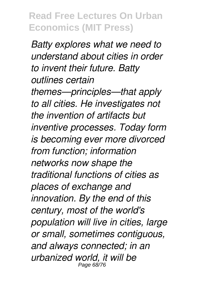*Batty explores what we need to understand about cities in order to invent their future. Batty outlines certain themes—principles—that apply to all cities. He investigates not the invention of artifacts but inventive processes. Today form is becoming ever more divorced from function; information networks now shape the traditional functions of cities as places of exchange and innovation. By the end of this century, most of the world's population will live in cities, large or small, sometimes contiguous, and always connected; in an urbanized world, it will be* Page 68/76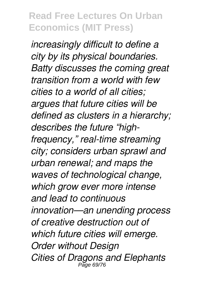*increasingly difficult to define a city by its physical boundaries. Batty discusses the coming great transition from a world with few cities to a world of all cities; argues that future cities will be defined as clusters in a hierarchy; describes the future "highfrequency," real-time streaming city; considers urban sprawl and urban renewal; and maps the waves of technological change, which grow ever more intense and lead to continuous innovation—an unending process of creative destruction out of which future cities will emerge. Order without Design Cities of Dragons and Elephants* Page 69/76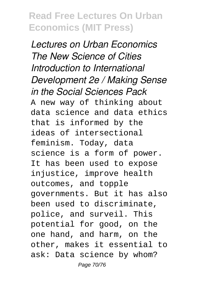*Lectures on Urban Economics The New Science of Cities Introduction to International Development 2e / Making Sense in the Social Sciences Pack* A new way of thinking about data science and data ethics that is informed by the ideas of intersectional feminism. Today, data science is a form of power. It has been used to expose injustice, improve health outcomes, and topple governments. But it has also been used to discriminate, police, and surveil. This potential for good, on the one hand, and harm, on the other, makes it essential to ask: Data science by whom? Page 70/76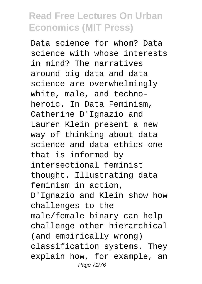Data science for whom? Data science with whose interests in mind? The narratives around big data and data science are overwhelmingly white, male, and technoheroic. In Data Feminism, Catherine D'Ignazio and Lauren Klein present a new way of thinking about data science and data ethics—one that is informed by intersectional feminist thought. Illustrating data feminism in action, D'Ignazio and Klein show how challenges to the male/female binary can help challenge other hierarchical (and empirically wrong) classification systems. They explain how, for example, an Page 71/76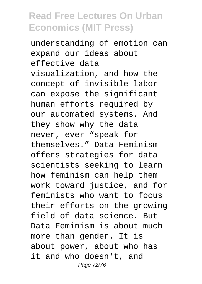understanding of emotion can expand our ideas about effective data visualization, and how the concept of invisible labor can expose the significant human efforts required by our automated systems. And they show why the data never, ever "speak for themselves." Data Feminism offers strategies for data scientists seeking to learn how feminism can help them work toward justice, and for feminists who want to focus their efforts on the growing field of data science. But Data Feminism is about much more than gender. It is about power, about who has it and who doesn't, and Page 72/76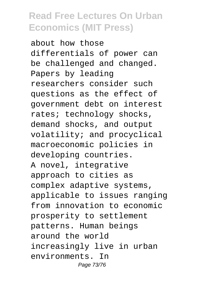about how those differentials of power can be challenged and changed. Papers by leading researchers consider such questions as the effect of government debt on interest rates; technology shocks, demand shocks, and output volatility; and procyclical macroeconomic policies in developing countries. A novel, integrative approach to cities as complex adaptive systems, applicable to issues ranging from innovation to economic prosperity to settlement patterns. Human beings around the world increasingly live in urban environments. In Page 73/76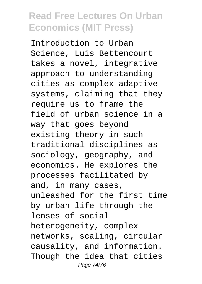Introduction to Urban Science, Luis Bettencourt takes a novel, integrative approach to understanding cities as complex adaptive systems, claiming that they require us to frame the field of urban science in a way that goes beyond existing theory in such traditional disciplines as sociology, geography, and economics. He explores the processes facilitated by and, in many cases, unleashed for the first time by urban life through the lenses of social heterogeneity, complex networks, scaling, circular causality, and information. Though the idea that cities Page 74/76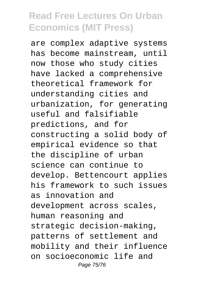are complex adaptive systems has become mainstream, until now those who study cities have lacked a comprehensive theoretical framework for understanding cities and urbanization, for generating useful and falsifiable predictions, and for constructing a solid body of empirical evidence so that the discipline of urban science can continue to develop. Bettencourt applies his framework to such issues as innovation and development across scales, human reasoning and strategic decision-making, patterns of settlement and mobility and their influence on socioeconomic life and Page 75/76